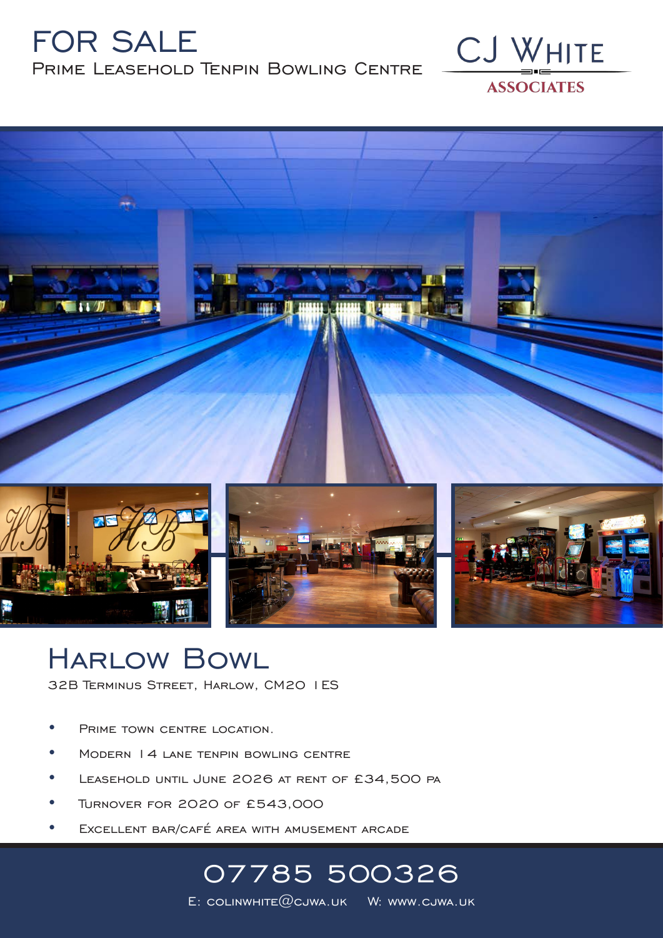### FOR SALE Prime Leasehold Tenpin Bowling Centre





## Harlow Bowl

32B Terminus Street, Harlow, CM20 1ES

- PRIME TOWN CENTRE LOCATION.
- Modern 14 lane tenpin bowling centre
- Leasehold until June 2026 at rent of £34,500 pa
- Turnover for 2020 of £543,000
- EXCELLENT BAR/CAFÉ AREA WITH AMUSEMENT ARCADE

# 07785 500326

E: COLINWHITE $@c$ JWA.UK W: www.cjwa.uk